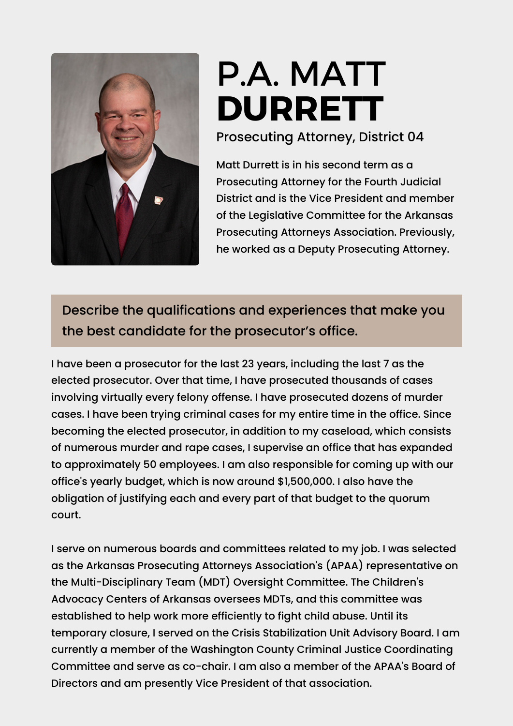

# P.A. MATT **[DURRETT](https://www.ark.org/arelections/index.php?ac:show:cand_search=1&candid=3604)**

Prosecuting Attorney, District 04

Matt Durrett is in his second term as a Prosecuting Attorney for the Fourth Judicial District and is the Vice President and member of the Legislative Committee for the Arkansas Prosecuting Attorneys Association. Previously, he worked as a Deputy Prosecuting Attorney.

Describe the qualifications and experiences that make you the best candidate for the prosecutor's office.

I have been a prosecutor for the last 23 years, including the last 7 as the elected prosecutor. Over that time, I have prosecuted thousands of cases involving virtually every felony offense. I have prosecuted dozens of murder cases. I have been trying criminal cases for my entire time in the office. Since becoming the elected prosecutor, in addition to my caseload, which consists of numerous murder and rape cases, I supervise an office that has expanded to approximately 50 employees. I am also responsible for coming up with our office's yearly budget, which is now around \$1,500,000. I also have the obligation of justifying each and every part of that budget to the quorum court.

I serve on numerous boards and committees related to my job. I was selected as the Arkansas Prosecuting Attorneys Association's (APAA) representative on the Multi-Disciplinary Team (MDT) Oversight Committee. The Children's Advocacy Centers of Arkansas oversees MDTs, and this committee was established to help work more efficiently to fight child abuse. Until its temporary closure, I served on the Crisis Stabilization Unit Advisory Board. I am currently a member of the Washington County Criminal Justice Coordinating Committee and serve as co-chair. I am also a member of the APAA's Board of Directors and am presently Vice President of that association.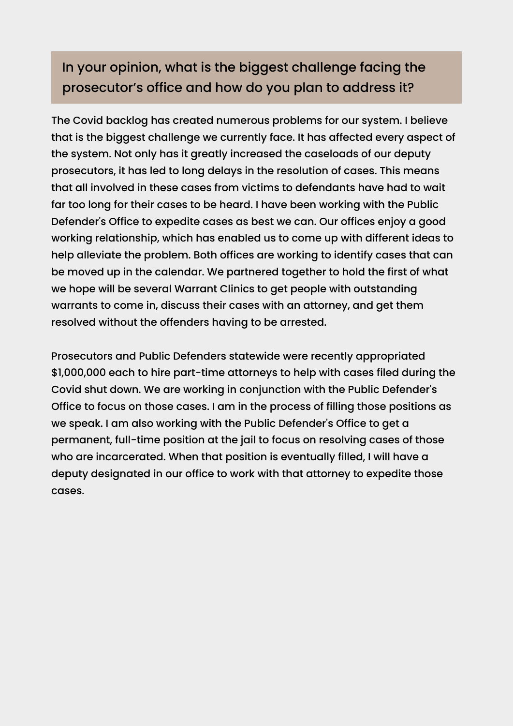### In your opinion, what is the biggest challenge facing the prosecutor's office and how do you plan to address it?

The Covid backlog has created numerous problems for our system. I believe that is the biggest challenge we currently face. It has affected every aspect of the system. Not only has it greatly increased the caseloads of our deputy prosecutors, it has led to long delays in the resolution of cases. This means that all involved in these cases from victims to defendants have had to wait far too long for their cases to be heard. I have been working with the Public Defender's Office to expedite cases as best we can. Our offices enjoy a good working relationship, which has enabled us to come up with different ideas to help alleviate the problem. Both offices are working to identify cases that can be moved up in the calendar. We partnered together to hold the first of what we hope will be several Warrant Clinics to get people with outstanding warrants to come in, discuss their cases with an attorney, and get them resolved without the offenders having to be arrested.

Prosecutors and Public Defenders statewide were recently appropriated \$1,000,000 each to hire part-time attorneys to help with cases filed during the Covid shut down. We are working in conjunction with the Public Defender's Office to focus on those cases. I am in the process of filling those positions as we speak. I am also working with the Public Defender's Office to get a permanent, full-time position at the jail to focus on resolving cases of those who are incarcerated. When that position is eventually filled, I will have a deputy designated in our office to work with that attorney to expedite those cases.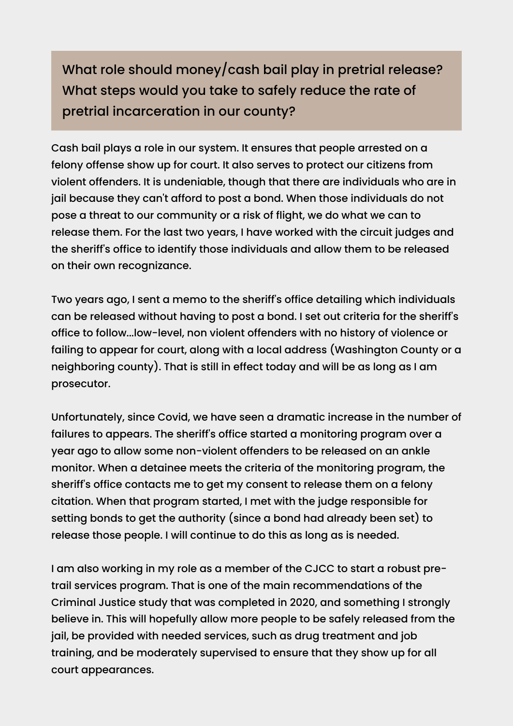What role should money/cash bail play in pretrial release? What steps would you take to safely reduce the rate of pretrial incarceration in our county?

Cash bail plays a role in our system. It ensures that people arrested on a felony offense show up for court. It also serves to protect our citizens from violent offenders. It is undeniable, though that there are individuals who are in jail because they can't afford to post a bond. When those individuals do not pose a threat to our community or a risk of flight, we do what we can to release them. For the last two years, I have worked with the circuit judges and the sheriff's office to identify those individuals and allow them to be released on their own recognizance.

Two years ago, I sent a memo to the sheriff's office detailing which individuals can be released without having to post a bond. I set out criteria for the sheriff's office to follow...low-level, non violent offenders with no history of violence or failing to appear for court, along with a local address (Washington County or a neighboring county). That is still in effect today and will be as long as I am prosecutor.

Unfortunately, since Covid, we have seen a dramatic increase in the number of failures to appears. The sheriff's office started a monitoring program over a year ago to allow some non-violent offenders to be released on an ankle monitor. When a detainee meets the criteria of the monitoring program, the sheriff's office contacts me to get my consent to release them on a felony citation. When that program started, I met with the judge responsible for setting bonds to get the authority (since a bond had already been set) to release those people. I will continue to do this as long as is needed.

I am also working in my role as a member of the CJCC to start a robust pretrail services program. That is one of the main recommendations of the Criminal Justice study that was completed in 2020, and something I strongly believe in. This will hopefully allow more people to be safely released from the jail, be provided with needed services, such as drug treatment and job training, and be moderately supervised to ensure that they show up for all court appearances.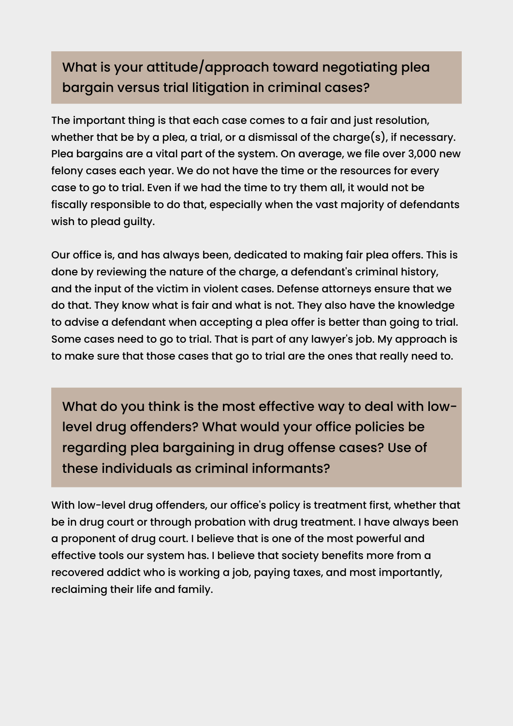## What is your attitude/approach toward negotiating plea bargain versus trial litigation in criminal cases?

The important thing is that each case comes to a fair and just resolution, whether that be by a plea, a trial, or a dismissal of the charge(s), if necessary. Plea bargains are a vital part of the system. On average, we file over 3,000 new felony cases each year. We do not have the time or the resources for every case to go to trial. Even if we had the time to try them all, it would not be fiscally responsible to do that, especially when the vast majority of defendants wish to plead guilty.

Our office is, and has always been, dedicated to making fair plea offers. This is done by reviewing the nature of the charge, a defendant's criminal history, and the input of the victim in violent cases. Defense attorneys ensure that we do that. They know what is fair and what is not. They also have the knowledge to advise a defendant when accepting a plea offer is better than going to trial. Some cases need to go to trial. That is part of any lawyer's job. My approach is to make sure that those cases that go to trial are the ones that really need to.

What do you think is the most effective way to deal with lowlevel drug offenders? What would your office policies be regarding plea bargaining in drug offense cases? Use of these individuals as criminal informants?

With low-level drug offenders, our office's policy is treatment first, whether that be in drug court or through probation with drug treatment. I have always been a proponent of drug court. I believe that is one of the most powerful and effective tools our system has. I believe that society benefits more from a recovered addict who is working a job, paying taxes, and most importantly, reclaiming their life and family.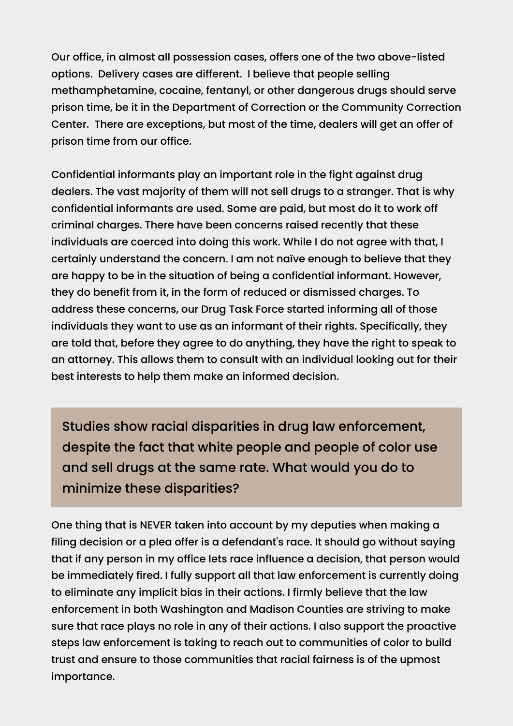Our office, in almost all possession cases, offers one of the two above-listed options. Delivery cases are different. I believe that people selling methamphetamine, cocaine, fentanyl, or other dangerous drugs should serve prison time, be it in the Department of Correction or the Community Correction Center. There are exceptions, but most of the time, dealers will get an offer of prison time from our office.

Confidential informants play an important role in the fight against drug dealers. The vast majority of them will not sell drugs to a stranger. That is why confidential informants are used. Some are paid, but most do it to work off criminal charges. There have been concerns raised recently that these individuals are coerced into doing this work. While I do not agree with that, I certainly understand the concern. I am not naïve enough to believe that they are happy to be in the situation of being a confidential informant. However, they do benefit from it, in the form of reduced or dismissed charges. To address these concerns, our Drug Task Force started informing all of those individuals they want to use as an informant of their rights. Specifically, they are told that, before they agree to do anything, they have the right to speak to an attorney. This allows them to consult with an individual looking out for their best interests to help them make an informed decision.

Studies show racial disparities in drug law enforcement, despite the fact that white people and people of color use and sell drugs at the same rate. What would you do to minimize these disparities?

One thing that is NEVER taken into account by my deputies when making a filing decision or a plea offer is a defendant's race. It should go without saying that if any person in my office lets race influence a decision, that person would be immediately fired. I fully support all that law enforcement is currently doing to eliminate any implicit bias in their actions. I firmly believe that the law enforcement in both Washington and Madison Counties are striving to make sure that race plays no role in any of their actions. I also support the proactive steps law enforcement is taking to reach out to communities of color to build trust and ensure to those communities that racial fairness is of the upmost importance.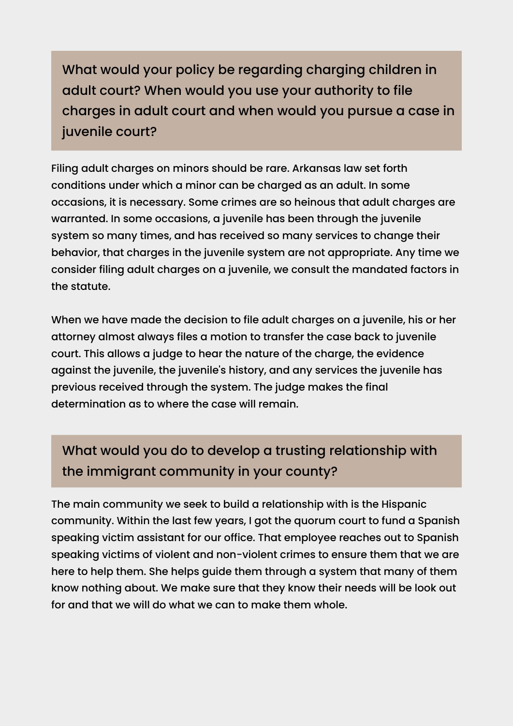What would your policy be regarding charging children in adult court? When would you use your authority to file charges in adult court and when would you pursue a case in juvenile court?

Filing adult charges on minors should be rare. Arkansas law set forth conditions under which a minor can be charged as an adult. In some occasions, it is necessary. Some crimes are so heinous that adult charges are warranted. In some occasions, a juvenile has been through the juvenile system so many times, and has received so many services to change their behavior, that charges in the juvenile system are not appropriate. Any time we consider filing adult charges on a juvenile, we consult the mandated factors in the statute.

When we have made the decision to file adult charges on a juvenile, his or her attorney almost always files a motion to transfer the case back to juvenile court. This allows a judge to hear the nature of the charge, the evidence against the juvenile, the juvenile's history, and any services the juvenile has previous received through the system. The judge makes the final determination as to where the case will remain.

## What would you do to develop a trusting relationship with the immigrant community in your county?

The main community we seek to build a relationship with is the Hispanic community. Within the last few years, I got the quorum court to fund a Spanish speaking victim assistant for our office. That employee reaches out to Spanish speaking victims of violent and non-violent crimes to ensure them that we are here to help them. She helps guide them through a system that many of them know nothing about. We make sure that they know their needs will be look out for and that we will do what we can to make them whole.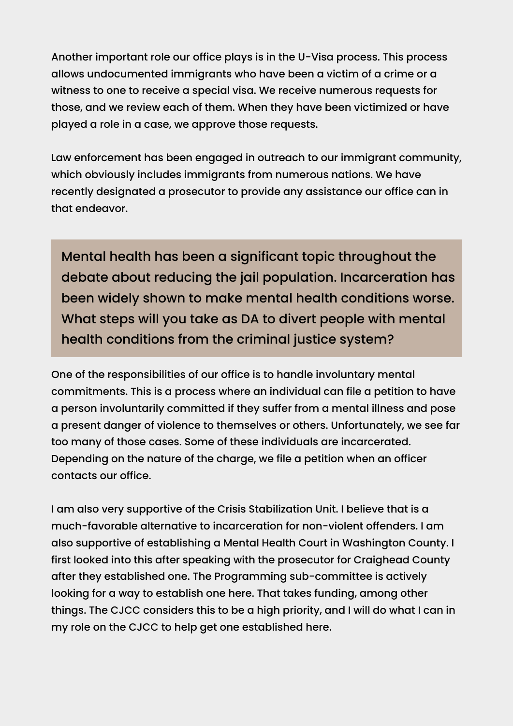Another important role our office plays is in the U-Visa process. This process allows undocumented immigrants who have been a victim of a crime or a witness to one to receive a special visa. We receive numerous requests for those, and we review each of them. When they have been victimized or have played a role in a case, we approve those requests.

Law enforcement has been engaged in outreach to our immigrant community, which obviously includes immigrants from numerous nations. We have recently designated a prosecutor to provide any assistance our office can in that endeavor.

Mental health has been a significant topic throughout the debate about reducing the jail population. Incarceration has been widely shown to make mental health conditions worse. What steps will you take as DA to divert people with mental health conditions from the criminal justice system?

One of the responsibilities of our office is to handle involuntary mental commitments. This is a process where an individual can file a petition to have a person involuntarily committed if they suffer from a mental illness and pose a present danger of violence to themselves or others. Unfortunately, we see far too many of those cases. Some of these individuals are incarcerated. Depending on the nature of the charge, we file a petition when an officer contacts our office.

I am also very supportive of the Crisis Stabilization Unit. I believe that is a much-favorable alternative to incarceration for non-violent offenders. I am also supportive of establishing a Mental Health Court in Washington County. I first looked into this after speaking with the prosecutor for Craighead County after they established one. The Programming sub-committee is actively looking for a way to establish one here. That takes funding, among other things. The CJCC considers this to be a high priority, and I will do what I can in my role on the CJCC to help get one established here.